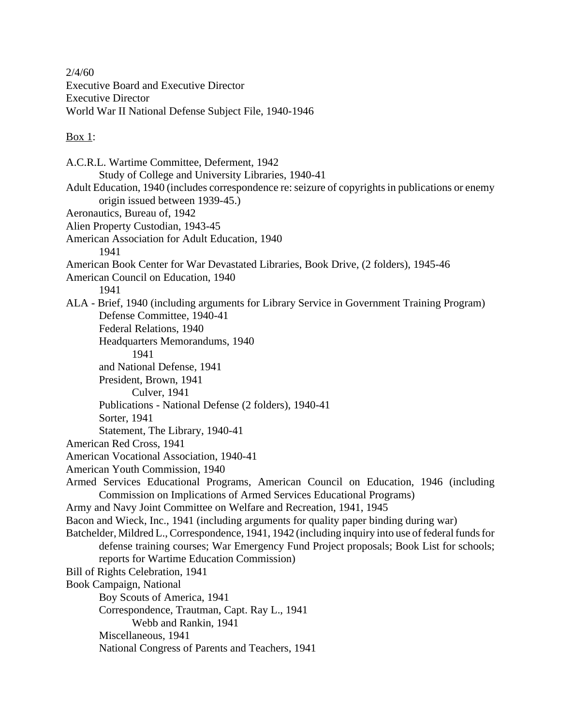$2/4/60$ Executive Board and Executive Director Executive Director World War II National Defense Subject File, 1940-1946

 $\frac{\text{Box 1}}{1}$ :

A.C.R.L. Wartime Committee, Deferment, 1942 Study of College and University Libraries, 1940-41 Adult Education, 1940 (includes correspondence re: seizure of copyrights in publications or enemy origin issued between 1939-45.) Aeronautics, Bureau of, 1942 Alien Property Custodian, 1943-45 American Association for Adult Education, 1940 1941 American Book Center for War Devastated Libraries, Book Drive, (2 folders), 1945-46 American Council on Education, 1940 1941 ALA - Brief, 1940 (including arguments for Library Service in Government Training Program) Defense Committee, 1940-41 Federal Relations, 1940 Headquarters Memorandums, 1940 1941 and National Defense, 1941 President, Brown, 1941 Culver, 1941 Publications - National Defense (2 folders), 1940-41 Sorter, 1941 Statement, The Library, 1940-41 American Red Cross, 1941 American Vocational Association, 1940-41 American Youth Commission, 1940 Armed Services Educational Programs, American Council on Education, 1946 (including Commission on Implications of Armed Services Educational Programs) Army and Navy Joint Committee on Welfare and Recreation, 1941, 1945 Bacon and Wieck, Inc., 1941 (including arguments for quality paper binding during war) Batchelder, Mildred L., Correspondence, 1941, 1942 (including inquiry into use of federal funds for defense training courses; War Emergency Fund Project proposals; Book List for schools; reports for Wartime Education Commission) Bill of Rights Celebration, 1941 Book Campaign, National Boy Scouts of America, 1941 Correspondence, Trautman, Capt. Ray L., 1941 Webb and Rankin, 1941 Miscellaneous, 1941 National Congress of Parents and Teachers, 1941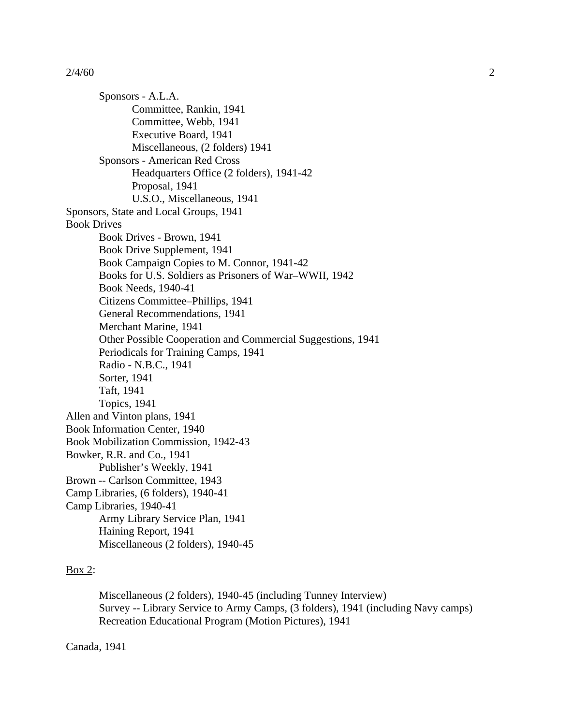Sponsors - A.L.A. Committee, Rankin, 1941 Committee, Webb, 1941 Executive Board, 1941 Miscellaneous, (2 folders) 1941 Sponsors - American Red Cross Headquarters Office (2 folders), 1941-42 Proposal, 1941 U.S.O., Miscellaneous, 1941 Sponsors, State and Local Groups, 1941 Book Drives Book Drives - Brown, 1941 Book Drive Supplement, 1941 Book Campaign Copies to M. Connor, 1941-42 Books for U.S. Soldiers as Prisoners of War–WWII, 1942 Book Needs, 1940-41 Citizens Committee–Phillips, 1941 General Recommendations, 1941 Merchant Marine, 1941 Other Possible Cooperation and Commercial Suggestions, 1941 Periodicals for Training Camps, 1941 Radio - N.B.C., 1941 Sorter, 1941 Taft, 1941 Topics, 1941 Allen and Vinton plans, 1941 Book Information Center, 1940 Book Mobilization Commission, 1942-43 Bowker, R.R. and Co., 1941 Publisher's Weekly, 1941 Brown -- Carlson Committee, 1943 Camp Libraries, (6 folders), 1940-41 Camp Libraries, 1940-41 Army Library Service Plan, 1941 Haining Report, 1941 Miscellaneous (2 folders), 1940-45

## $\frac{\text{Box } 2}{\text{Box } 2}$

Miscellaneous (2 folders), 1940-45 (including Tunney Interview) Survey -- Library Service to Army Camps, (3 folders), 1941 (including Navy camps) Recreation Educational Program (Motion Pictures), 1941

## Canada, 1941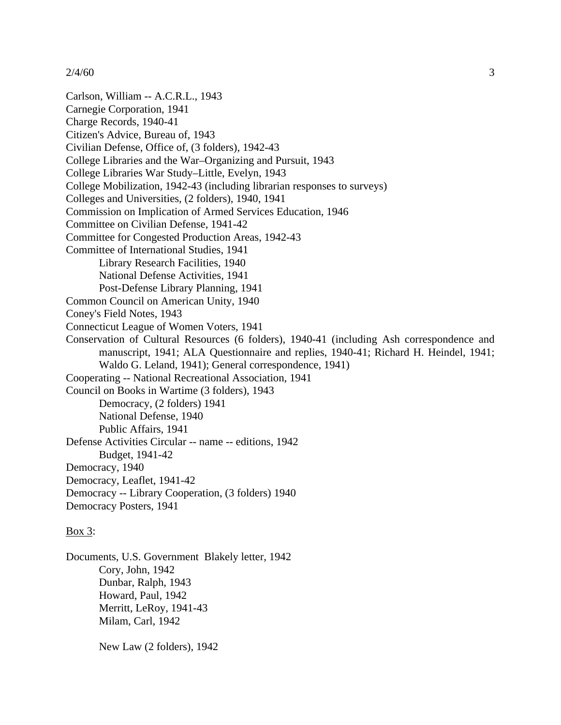Carlson, William -- A.C.R.L., 1943 Carnegie Corporation, 1941 Charge Records, 1940-41 Citizen's Advice, Bureau of, 1943 Civilian Defense, Office of, (3 folders), 1942-43 College Libraries and the War–Organizing and Pursuit, 1943 College Libraries War Study–Little, Evelyn, 1943 College Mobilization, 1942-43 (including librarian responses to surveys) Colleges and Universities, (2 folders), 1940, 1941 Commission on Implication of Armed Services Education, 1946 Committee on Civilian Defense, 1941-42 Committee for Congested Production Areas, 1942-43 Committee of International Studies, 1941 Library Research Facilities, 1940 National Defense Activities, 1941 Post-Defense Library Planning, 1941 Common Council on American Unity, 1940 Coney's Field Notes, 1943 Connecticut League of Women Voters, 1941 Conservation of Cultural Resources (6 folders), 1940-41 (including Ash correspondence and manuscript, 1941; ALA Questionnaire and replies, 1940-41; Richard H. Heindel, 1941; Waldo G. Leland, 1941); General correspondence, 1941) Cooperating -- National Recreational Association, 1941 Council on Books in Wartime (3 folders), 1943 Democracy, (2 folders) 1941 National Defense, 1940 Public Affairs, 1941 Defense Activities Circular -- name -- editions, 1942 Budget, 1941-42 Democracy, 1940 Democracy, Leaflet, 1941-42 Democracy -- Library Cooperation, (3 folders) 1940 Democracy Posters, 1941  $\frac{Box}{3}$ :

Documents, U.S. Government Blakely letter, 1942 Cory, John, 1942 Dunbar, Ralph, 1943 Howard, Paul, 1942 Merritt, LeRoy, 1941-43 Milam, Carl, 1942

New Law (2 folders), 1942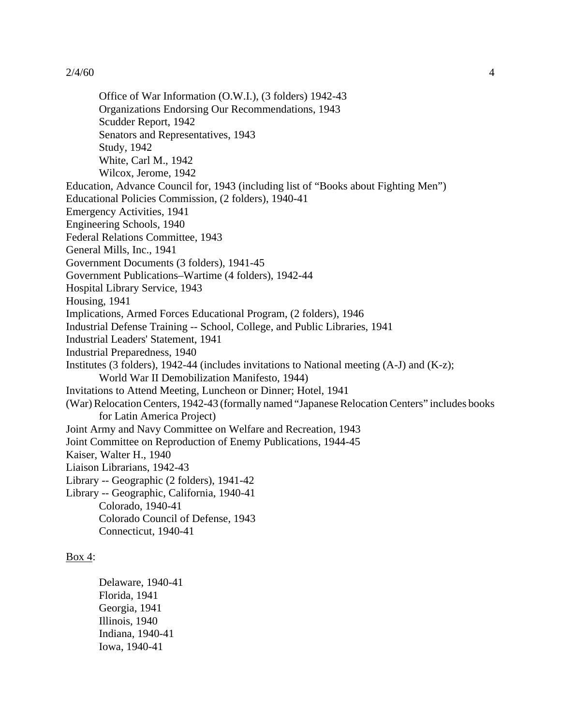Office of War Information (O.W.I.), (3 folders) 1942-43 Organizations Endorsing Our Recommendations, 1943 Scudder Report, 1942 Senators and Representatives, 1943 Study, 1942 White, Carl M., 1942 Wilcox, Jerome, 1942 Education, Advance Council for, 1943 (including list of "Books about Fighting Men") Educational Policies Commission, (2 folders), 1940-41 Emergency Activities, 1941 Engineering Schools, 1940 Federal Relations Committee, 1943 General Mills, Inc., 1941 Government Documents (3 folders), 1941-45 Government Publications–Wartime (4 folders), 1942-44 Hospital Library Service, 1943 Housing, 1941 Implications, Armed Forces Educational Program, (2 folders), 1946 Industrial Defense Training -- School, College, and Public Libraries, 1941 Industrial Leaders' Statement, 1941 Industrial Preparedness, 1940 Institutes (3 folders), 1942-44 (includes invitations to National meeting (A-J) and (K-z); World War II Demobilization Manifesto, 1944) Invitations to Attend Meeting, Luncheon or Dinner; Hotel, 1941 (War)RelocationCenters, 1942-43 (formally named "JapaneseRelocationCenters" includes books for Latin America Project) Joint Army and Navy Committee on Welfare and Recreation, 1943 Joint Committee on Reproduction of Enemy Publications, 1944-45 Kaiser, Walter H., 1940 Liaison Librarians, 1942-43 Library -- Geographic (2 folders), 1941-42 Library -- Geographic, California, 1940-41 Colorado, 1940-41 Colorado Council of Defense, 1943 Connecticut, 1940-41

# $\frac{\text{Box } 4}{\text{Box } 4}$

Delaware, 1940-41 Florida, 1941 Georgia, 1941 Illinois, 1940 Indiana, 1940-41 Iowa, 1940-41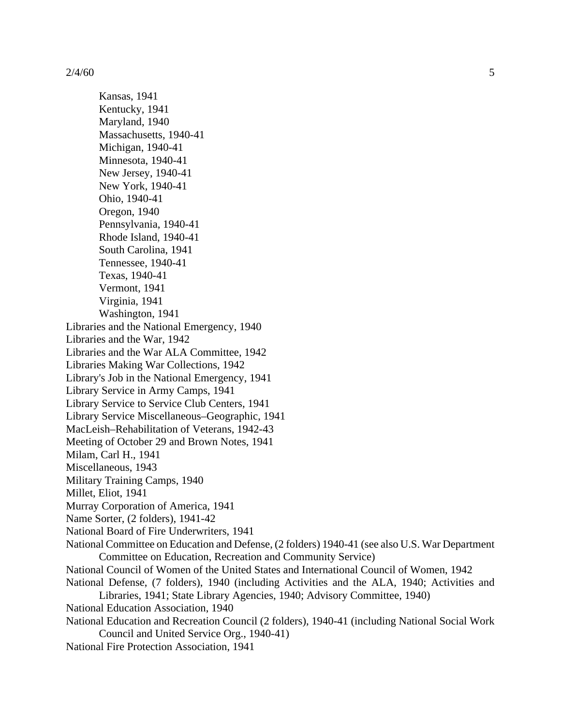Kansas, 1941 Kentucky, 1941 Maryland, 1940 Massachusetts, 1940-41 Michigan, 1940-41 Minnesota, 1940-41 New Jersey, 1940-41 New York, 1940-41 Ohio, 1940-41 Oregon, 1940 Pennsylvania, 1940-41 Rhode Island, 1940-41 South Carolina, 1941 Tennessee, 1940-41 Texas, 1940-41 Vermont, 1941 Virginia, 1941 Washington, 1941 Libraries and the National Emergency, 1940 Libraries and the War, 1942 Libraries and the War ALA Committee, 1942 Libraries Making War Collections, 1942 Library's Job in the National Emergency, 1941 Library Service in Army Camps, 1941 Library Service to Service Club Centers, 1941 Library Service Miscellaneous–Geographic, 1941 MacLeish–Rehabilitation of Veterans, 1942-43 Meeting of October 29 and Brown Notes, 1941 Milam, Carl H., 1941 Miscellaneous, 1943 Military Training Camps, 1940 Millet, Eliot, 1941 Murray Corporation of America, 1941 Name Sorter, (2 folders), 1941-42 National Board of Fire Underwriters, 1941 National Committee on Education and Defense, (2 folders) 1940-41 (see also U.S. War Department Committee on Education, Recreation and Community Service) National Council of Women of the United States and International Council of Women, 1942 National Defense, (7 folders), 1940 (including Activities and the ALA, 1940; Activities and Libraries, 1941; State Library Agencies, 1940; Advisory Committee, 1940) National Education Association, 1940 National Education and Recreation Council (2 folders), 1940-41 (including National Social Work Council and United Service Org., 1940-41)

National Fire Protection Association, 1941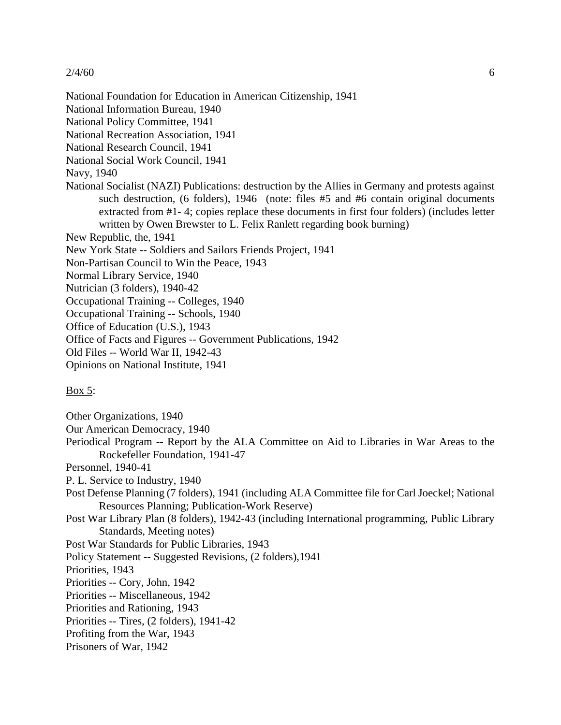National Foundation for Education in American Citizenship, 1941 National Information Bureau, 1940 National Policy Committee, 1941 National Recreation Association, 1941 National Research Council, 1941 National Social Work Council, 1941 Navy, 1940 National Socialist (NAZI) Publications: destruction by the Allies in Germany and protests against such destruction, (6 folders), 1946 (note: files #5 and #6 contain original documents extracted from #1- 4; copies replace these documents in first four folders) (includes letter written by Owen Brewster to L. Felix Ranlett regarding book burning) New Republic, the, 1941 New York State -- Soldiers and Sailors Friends Project, 1941 Non-Partisan Council to Win the Peace, 1943 Normal Library Service, 1940 Nutrician (3 folders), 1940-42 Occupational Training -- Colleges, 1940 Occupational Training -- Schools, 1940 Office of Education (U.S.), 1943 Office of Facts and Figures -- Government Publications, 1942 Old Files -- World War II, 1942-43 Opinions on National Institute, 1941  $\frac{Box 5}{}$ 

Other Organizations, 1940

Our American Democracy, 1940

- Periodical Program -- Report by the ALA Committee on Aid to Libraries in War Areas to the Rockefeller Foundation, 1941-47
- Personnel, 1940-41
- P. L. Service to Industry, 1940
- Post Defense Planning (7 folders), 1941 (including ALA Committee file for Carl Joeckel; National Resources Planning; Publication-Work Reserve)
- Post War Library Plan (8 folders), 1942-43 (including International programming, Public Library Standards, Meeting notes)

Post War Standards for Public Libraries, 1943

Policy Statement -- Suggested Revisions, (2 folders),1941

Priorities, 1943

Priorities -- Cory, John, 1942

- Priorities -- Miscellaneous, 1942
- Priorities and Rationing, 1943

Priorities -- Tires, (2 folders), 1941-42

- Profiting from the War, 1943
- Prisoners of War, 1942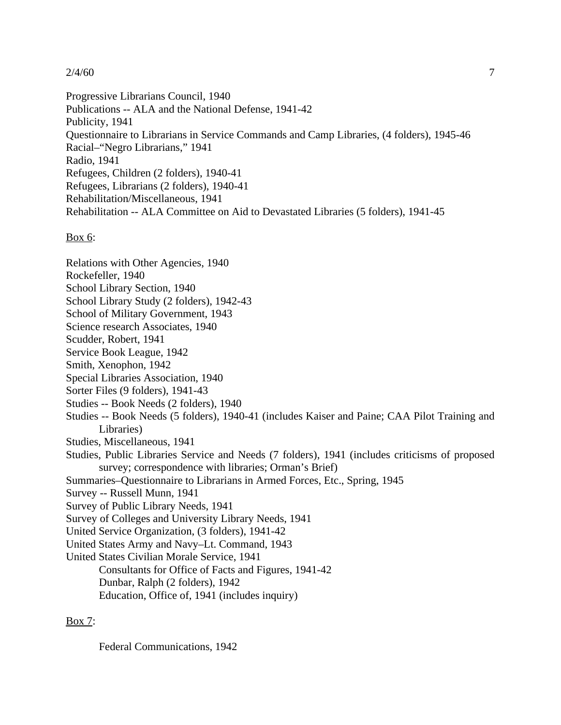Progressive Librarians Council, 1940 Publications -- ALA and the National Defense, 1941-42 Publicity, 1941 Questionnaire to Librarians in Service Commands and Camp Libraries, (4 folders), 1945-46 Racial–"Negro Librarians," 1941 Radio, 1941 Refugees, Children (2 folders), 1940-41 Refugees, Librarians (2 folders), 1940-41 Rehabilitation/Miscellaneous, 1941 Rehabilitation -- ALA Committee on Aid to Devastated Libraries (5 folders), 1941-45

 $\frac{Box\ 6:}{}$ 

Relations with Other Agencies, 1940 Rockefeller, 1940 School Library Section, 1940 School Library Study (2 folders), 1942-43 School of Military Government, 1943 Science research Associates, 1940 Scudder, Robert, 1941 Service Book League, 1942 Smith, Xenophon, 1942 Special Libraries Association, 1940 Sorter Files (9 folders), 1941-43 Studies -- Book Needs (2 folders), 1940 Studies -- Book Needs (5 folders), 1940-41 (includes Kaiser and Paine; CAA Pilot Training and Libraries) Studies, Miscellaneous, 1941 Studies, Public Libraries Service and Needs (7 folders), 1941 (includes criticisms of proposed survey; correspondence with libraries; Orman's Brief) Summaries–Questionnaire to Librarians in Armed Forces, Etc., Spring, 1945 Survey -- Russell Munn, 1941 Survey of Public Library Needs, 1941 Survey of Colleges and University Library Needs, 1941 United Service Organization, (3 folders), 1941-42 United States Army and Navy–Lt. Command, 1943 United States Civilian Morale Service, 1941 Consultants for Office of Facts and Figures, 1941-42 Dunbar, Ralph (2 folders), 1942 Education, Office of, 1941 (includes inquiry)

# $\frac{\text{Box } 7:}{}$

Federal Communications, 1942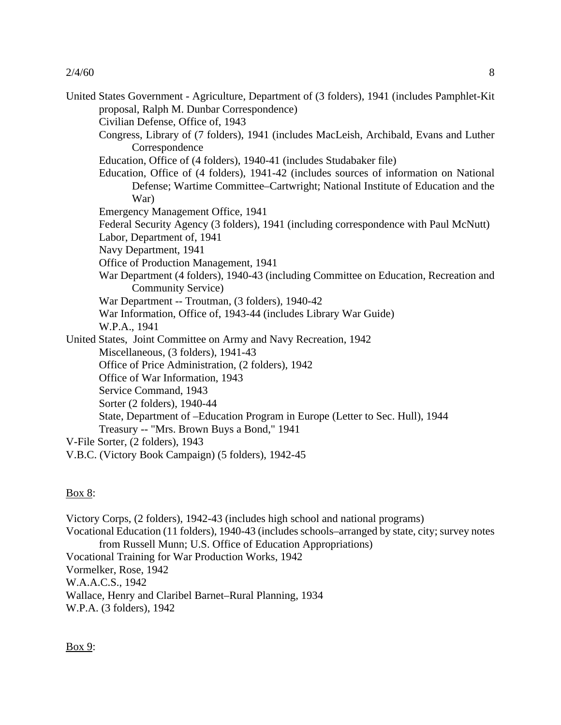United States Government - Agriculture, Department of (3 folders), 1941 (includes Pamphlet-Kit proposal, Ralph M. Dunbar Correspondence)

Civilian Defense, Office of, 1943

Congress, Library of (7 folders), 1941 (includes MacLeish, Archibald, Evans and Luther **Correspondence** 

Education, Office of (4 folders), 1940-41 (includes Studabaker file)

- Education, Office of (4 folders), 1941-42 (includes sources of information on National Defense; Wartime Committee–Cartwright; National Institute of Education and the War)
- Emergency Management Office, 1941
- Federal Security Agency (3 folders), 1941 (including correspondence with Paul McNutt)
- Labor, Department of, 1941
- Navy Department, 1941
- Office of Production Management, 1941
- War Department (4 folders), 1940-43 (including Committee on Education, Recreation and Community Service)
- War Department -- Troutman, (3 folders), 1940-42
- War Information, Office of, 1943-44 (includes Library War Guide)
- W.P.A., 1941

United States, Joint Committee on Army and Navy Recreation, 1942

Miscellaneous, (3 folders), 1941-43

Office of Price Administration, (2 folders), 1942

- Office of War Information, 1943
- Service Command, 1943
- Sorter (2 folders), 1940-44
- State, Department of –Education Program in Europe (Letter to Sec. Hull), 1944
- Treasury -- "Mrs. Brown Buys a Bond," 1941
- V-File Sorter, (2 folders), 1943
- V.B.C. (Victory Book Campaign) (5 folders), 1942-45

## $\frac{Box 8}{ }$

Victory Corps, (2 folders), 1942-43 (includes high school and national programs) Vocational Education (11 folders), 1940-43 (includes schools–arranged by state, city; survey notes from Russell Munn; U.S. Office of Education Appropriations) Vocational Training for War Production Works, 1942 Vormelker, Rose, 1942 W.A.A.C.S., 1942 Wallace, Henry and Claribel Barnet–Rural Planning, 1934 W.P.A. (3 folders), 1942